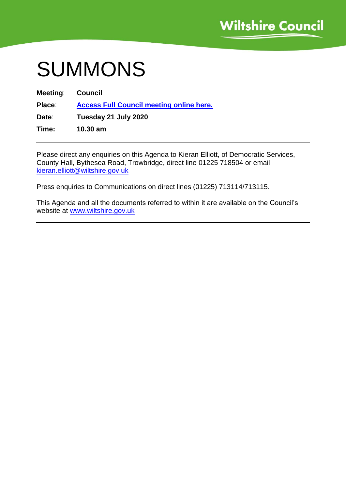# SUMMONS

| Meeting: | Council                                         |
|----------|-------------------------------------------------|
| Place:   | <b>Access Full Council meeting online here.</b> |
| Date:    | Tuesday 21 July 2020                            |
| Time:    | $10.30$ am                                      |

Please direct any enquiries on this Agenda to Kieran Elliott, of Democratic Services, County Hall, Bythesea Road, Trowbridge, direct line 01225 718504 or email kieran.elliott@wiltshire.gov.uk

Press enquiries to Communications on direct lines (01225) 713114/713115.

This Agenda and all the documents referred to within it are available on the Council's website at [www.wiltshire.gov.uk](http://www.wiltshire.gov.uk/)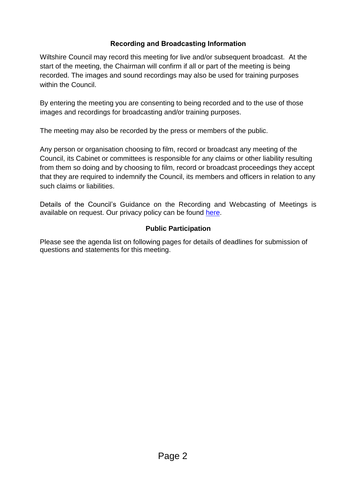## **Recording and Broadcasting Information**

Wiltshire Council may record this meeting for live and/or subsequent broadcast. At the start of the meeting, the Chairman will confirm if all or part of the meeting is being recorded. The images and sound recordings may also be used for training purposes within the Council.

By entering the meeting you are consenting to being recorded and to the use of those images and recordings for broadcasting and/or training purposes.

The meeting may also be recorded by the press or members of the public.

Any person or organisation choosing to film, record or broadcast any meeting of the Council, its Cabinet or committees is responsible for any claims or other liability resulting from them so doing and by choosing to film, record or broadcast proceedings they accept that they are required to indemnify the Council, its members and officers in relation to any such claims or liabilities.

Details of the Council's Guidance on the Recording and Webcasting of Meetings is available on request. Our privacy policy can be found [here.](https://cms.wiltshire.gov.uk/ecCatDisplay.aspx?sch=doc&cat=14031)

## **Public Participation**

Please see the agenda list on following pages for details of deadlines for submission of questions and statements for this meeting.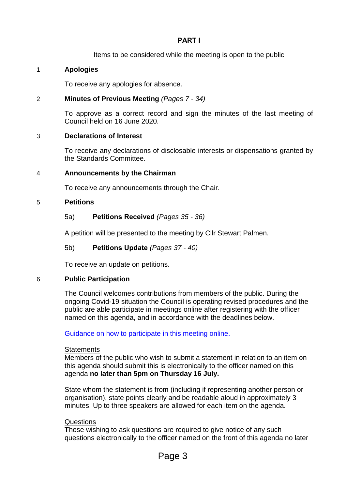## **PART I**

Items to be considered while the meeting is open to the public

## 1 **Apologies**

To receive any apologies for absence.

## 2 **Minutes of Previous Meeting** *(Pages 7 - 34)*

To approve as a correct record and sign the minutes of the last meeting of Council held on 16 June 2020.

## 3 **Declarations of Interest**

To receive any declarations of disclosable interests or dispensations granted by the Standards Committee.

## 4 **Announcements by the Chairman**

To receive any announcements through the Chair.

## 5 **Petitions**

## 5a) **Petitions Received** *(Pages 35 - 36)*

A petition will be presented to the meeting by Cllr Stewart Palmen.

## 5b) **Petitions Update** *(Pages 37 - 40)*

To receive an update on petitions.

## 6 **Public Participation**

The Council welcomes contributions from members of the public. During the ongoing Covid-19 situation the Council is operating revised procedures and the public are able participate in meetings online after registering with the officer named on this agenda, and in accordance with the deadlines below.

[Guidance on how to participate in this meeting online.](https://cms.wiltshire.gov.uk/ecSDDisplay.aspx?NAME=Guidance%20on%20Public%20Participation%20in%20Online%20Meeting&ID=4563&RPID=22540945)

## **Statements**

Members of the public who wish to submit a statement in relation to an item on this agenda should submit this is electronically to the officer named on this agenda **no later than 5pm on Thursday 16 July.** 

State whom the statement is from (including if representing another person or organisation), state points clearly and be readable aloud in approximately 3 minutes. Up to three speakers are allowed for each item on the agenda.

## Questions

**T**hose wishing to ask questions are required to give notice of any such questions electronically to the officer named on the front of this agenda no later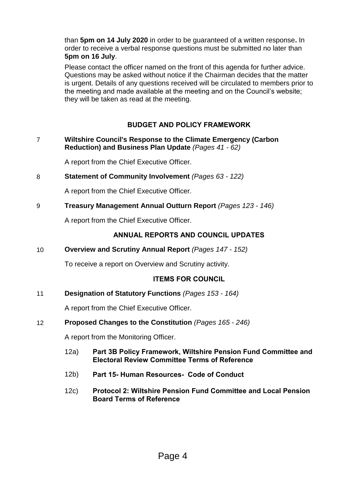than **5pm on 14 July 2020** in order to be guaranteed of a written response**.** In order to receive a verbal response questions must be submitted no later than **5pm on 16 July**.

Please contact the officer named on the front of this agenda for further advice. Questions may be asked without notice if the Chairman decides that the matter is urgent. Details of any questions received will be circulated to members prior to the meeting and made available at the meeting and on the Council's website; they will be taken as read at the meeting.

## **BUDGET AND POLICY FRAMEWORK**

7 **Wiltshire Council's Response to the Climate Emergency (Carbon Reduction) and Business Plan Update** *(Pages 41 - 62)*

A report from the Chief Executive Officer.

8 **Statement of Community Involvement** *(Pages 63 - 122)*

A report from the Chief Executive Officer.

9 **Treasury Management Annual Outturn Report** *(Pages 123 - 146)*

A report from the Chief Executive Officer.

## **ANNUAL REPORTS AND COUNCIL UPDATES**

10 **Overview and Scrutiny Annual Report** *(Pages 147 - 152)*

To receive a report on Overview and Scrutiny activity.

## **ITEMS FOR COUNCIL**

11 **Designation of Statutory Functions** *(Pages 153 - 164)*

A report from the Chief Executive Officer.

#### 12 **Proposed Changes to the Constitution** *(Pages 165 - 246)*

A report from the Monitoring Officer.

- 12a) **Part 3B Policy Framework, Wiltshire Pension Fund Committee and Electoral Review Committee Terms of Reference**
- 12b) **Part 15- Human Resources- Code of Conduct**
- 12c) **Protocol 2: Wiltshire Pension Fund Committee and Local Pension Board Terms of Reference**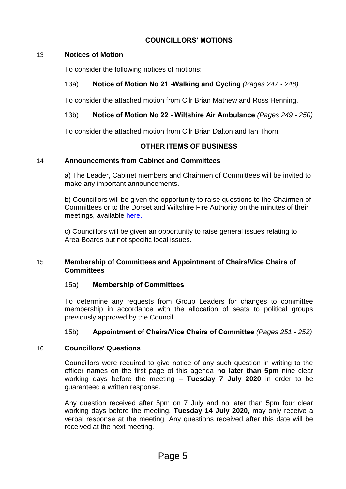## **COUNCILLORS' MOTIONS**

## 13 **Notices of Motion**

To consider the following notices of motions:

## 13a) **Notice of Motion No 21 -Walking and Cycling** *(Pages 247 - 248)*

To consider the attached motion from Cllr Brian Mathew and Ross Henning.

## 13b) **Notice of Motion No 22 - Wiltshire Air Ambulance** *(Pages 249 - 250)*

To consider the attached motion from Cllr Brian Dalton and Ian Thorn.

#### **OTHER ITEMS OF BUSINESS**

#### 14 **Announcements from Cabinet and Committees**

a) The Leader, Cabinet members and Chairmen of Committees will be invited to make any important announcements.

b) Councillors will be given the opportunity to raise questions to the Chairmen of Committees or to the Dorset and Wiltshire Fire Authority on the minutes of their meetings, available [here.](https://www.dwfire.org.uk/fire-rescue-authority/meeting-information/meetings/)

c) Councillors will be given an opportunity to raise general issues relating to Area Boards but not specific local issues.

#### 15 **Membership of Committees and Appointment of Chairs/Vice Chairs of Committees**

#### 15a) **Membership of Committees**

To determine any requests from Group Leaders for changes to committee membership in accordance with the allocation of seats to political groups previously approved by the Council.

#### 15b) **Appointment of Chairs/Vice Chairs of Committee** *(Pages 251 - 252)*

#### 16 **Councillors' Questions**

Councillors were required to give notice of any such question in writing to the officer names on the first page of this agenda **no later than 5pm** nine clear working days before the meeting – **Tuesday 7 July 2020** in order to be guaranteed a written response.

Any question received after 5pm on 7 July and no later than 5pm four clear working days before the meeting, **Tuesday 14 July 2020,** may only receive a verbal response at the meeting. Any questions received after this date will be received at the next meeting.